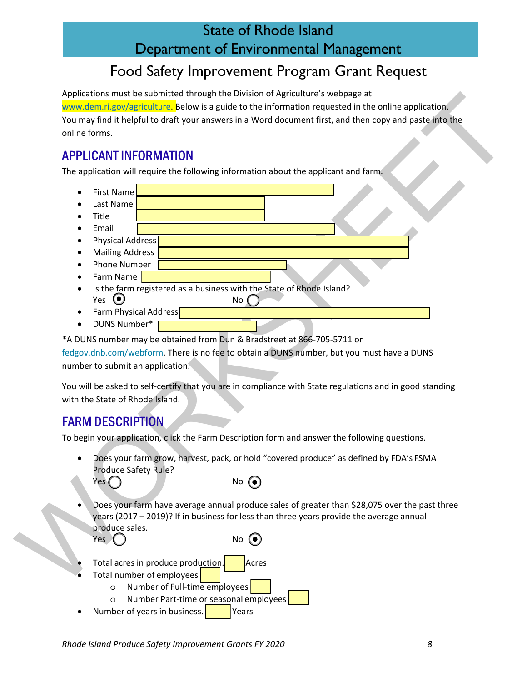## State of Rhode Island Department of Environmental Management

# Food Safety Improvement Program Grant Request

Applications must be submitted through the Division of Agriculture's webpage at

www.dem.ri.gov/agriculture. Below is a guide to the information requested in the online application. You may find it helpful to draft your answers in a Word document first, and then copy and paste into the online forms.

### APPLICANT INFORMATION

The application will require the following information about the applicant and farm.

- Associates that the studented from the Universal of Agriculture seeinge and the online application.<br>
You have the student in the colline application of the student of the colline application.<br>
You have first the student i • First Name • Last Name • Title • Email • Physical Address • Mailing Address • Phone Number • Farm Name Is the farm registered as a business with the State of Rhode Island?  $Yes$   $\bigcirc$  No Farm Physical Address
	- DUNS Number\*

\*A DUNS number may be obtained from Dun & Bradstreet at 866-705-5711 or

fedgov.dnb.com/webform. There is no fee to obtain a DUNS number, but you must have a DUNS number to submit an application.

You will be asked to self-certify that you are in compliance with State regulations and in good standing with the State of Rhode Island.

## FARM DESCRIPTION

To begin your application, click the Farm Description form and answer the following questions.

• Does your farm grow, harvest, pack, or hold "covered produce" as defined by FDA's FSMA Produce Safety Rule?



• Does your farm have average annual produce sales of greater than \$28,075 over the past three years (2017 – 2019)? If in business for less than three years provide the average annual produce sales. Yes  $\bigcap$  No  $\bigcirc$ 

- Total acres in produce production. **Acres**
- Total number of employees
	- o Number of Full-time employees
	- o Number Part-time or seasonal employees
- Number of years in business.  $\vert$   $\vert$  Years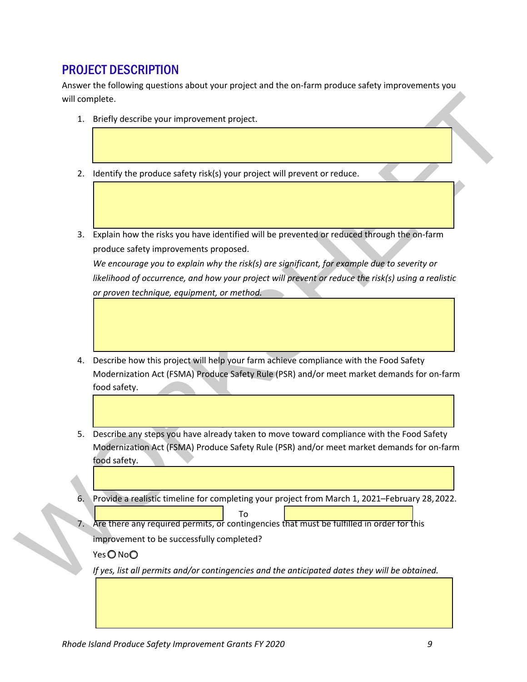#### PROJECT DESCRIPTION

Answer the following questions about your project and the on-farm produce safety improvements you will complete.

- 1. Briefly describe your improvement project.
- 2. Identify the produce safety risk(s) your project will prevent or reduce.
- 3. Explain how the risks you have identified will be prevented or reduced through the on-farm produce safety improvements proposed.

*We encourage you to explain why the risk(s) are significant, for example due to severity or likelihood of occurrence, and how your project will prevent or reduce the risk(s) using a realistic or proven technique, equipment, or method.*

- will complete.<br>
2. Memory describe your improvement project.<br>
2. Memory describe your improvement project will prevent or reduce.<br>
3. Explain how the risks you have identified will be prevented or reduce.<br>
2. Maplin how th 4. Describe how this project will help your farm achieve compliance with the Food Safety Modernization Act (FSMA) Produce Safety Rule (PSR) and/or meet market demands for on-farm food safety.
	- 5. Describe any steps you have already taken to move toward compliance with the Food Safety Modernization Act (FSMA) Produce Safety Rule (PSR) and/or meet market demands for on-farm food safety.
	- 6. Provide a realistic timeline for completing your project from March 1, 2021–February 28,2022. To
	- Are there any required permits, or contingencies that must be fulfilled in order for this

improvement to be successfully completed?

Yes ONoO

*If yes, list all permits and/or contingencies and the anticipated dates they will be obtained.*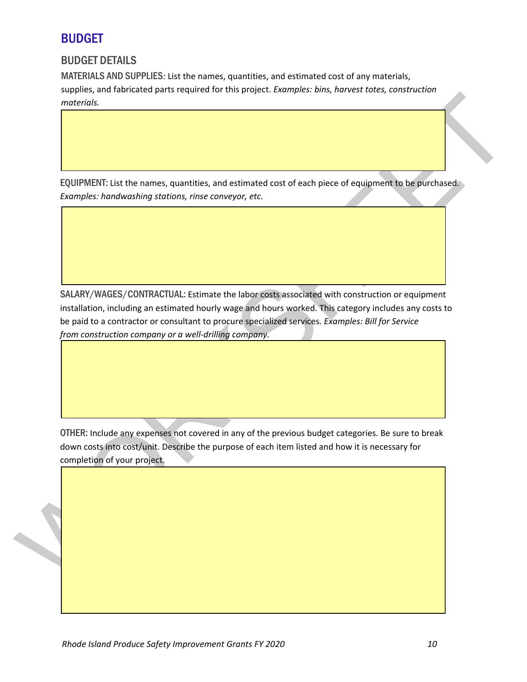#### BUDGET

#### BUDGET DETAILS

MATERIALS AND SUPPLIES: List the names, quantities, and estimated cost of any materials, supplies, and fabricated parts required for this project. *Examples: bins, harvest totes, construction materials.* 

EQUIPMENT: List the names, quantities, and estimated cost of each piece of equipment to be purchased. *Examples: handwashing stations, rinse conveyor, etc.* 

EQUIPMENT: ust the names, quantities, and estimated cost of each piece of equipment to be purchased<br>
EQUIPMENT: ust the names, quantities, and estimated cost of each piece of equipment to be purchased<br>
EQUIPMENT: ust the n SALARY/WAGES/CONTRACTUAL: Estimate the labor costs associated with construction or equipment installation, including an estimated hourly wage and hours worked. This category includes any costs to be paid to a contractor or consultant to procure specialized services. *Examples: Bill for Service from construction company or a well-drilling company.* 

OTHER: Include any expenses not covered in any of the previous budget categories. Be sure to break down costs into cost/unit. Describe the purpose of each item listed and how it is necessary for completion of your project.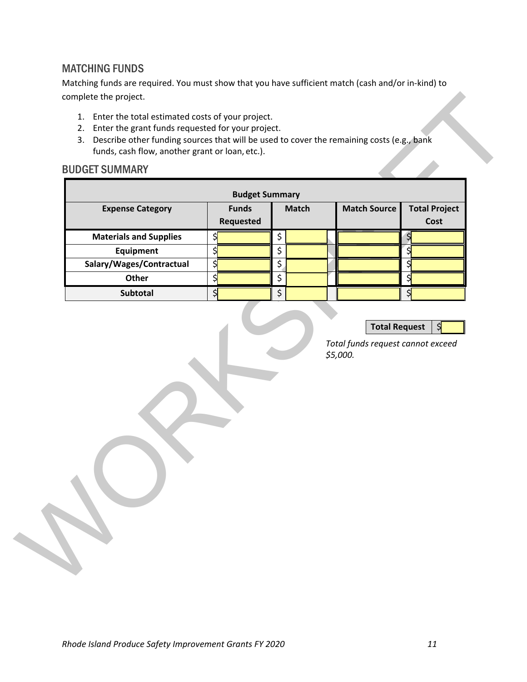#### MATCHING FUNDS

Matching funds are required. You must show that you have sufficient match (cash and/or in-kind) to complete the project.

- 1. Enter the total estimated costs of your project.
- 2. Enter the grant funds requested for your project.
- 3. Describe other funding sources that will be used to cover the remaining costs (e.g., bank funds, cash flow, another grant or loan, etc.).

# BUDGET SUMMARY

| <b>Budget Summary</b>         |                                                                                 |                                                           |                                                    | <b>Total Project</b>                                                                         |
|-------------------------------|---------------------------------------------------------------------------------|-----------------------------------------------------------|----------------------------------------------------|----------------------------------------------------------------------------------------------|
|                               | Requested                                                                       |                                                           |                                                    | Cost                                                                                         |
| <b>Materials and Supplies</b> | $\frac{1}{2}$                                                                   | \$                                                        |                                                    | $\frac{1}{2}$                                                                                |
| Equipment                     |                                                                                 |                                                           |                                                    | \$                                                                                           |
|                               |                                                                                 |                                                           |                                                    |                                                                                              |
|                               |                                                                                 |                                                           |                                                    | \$                                                                                           |
|                               |                                                                                 |                                                           |                                                    | \$                                                                                           |
|                               |                                                                                 |                                                           |                                                    |                                                                                              |
|                               |                                                                                 |                                                           |                                                    |                                                                                              |
|                               |                                                                                 |                                                           |                                                    |                                                                                              |
|                               |                                                                                 |                                                           |                                                    |                                                                                              |
|                               |                                                                                 |                                                           |                                                    |                                                                                              |
|                               |                                                                                 |                                                           |                                                    |                                                                                              |
|                               |                                                                                 |                                                           |                                                    |                                                                                              |
|                               | <b>Expense Category</b><br>Salary/Wages/Contractual<br><b>Other</b><br>Subtotal | <b>Funds</b><br>\$<br>$\frac{1}{2}$<br>$\frac{1}{2}$<br>३ | <b>Match</b><br>\$<br>\$<br>$\overline{\xi}$<br>\$ | <b>Match Source</b><br><b>Total Request</b><br>Total funds request cannot exceed<br>\$5,000. |